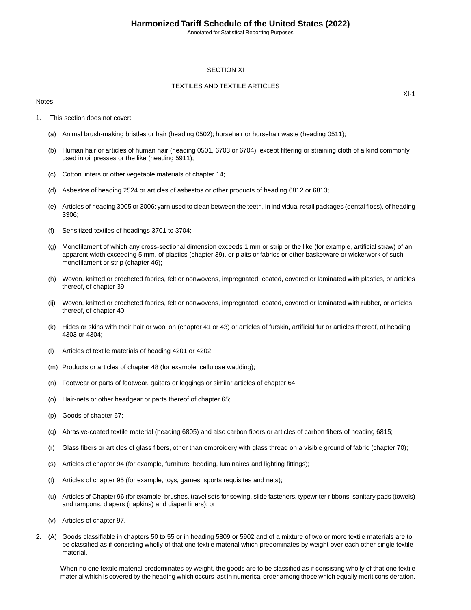Annotated for Statistical Reporting Purposes

## SECTION XI

## TEXTILES AND TEXTILE ARTICLES

#### Notes

 $XI-1$ 

- 1. This section does not cover:
	- (a) Animal brush-making bristles or hair (heading 0502); horsehair or horsehair waste (heading 0511);
	- (b) Human hair or articles of human hair (heading 0501, 6703 or 6704), except filtering or straining cloth of a kind commonly used in oil presses or the like (heading 5911);
	- (c) Cotton linters or other vegetable materials of chapter 14;
	- (d) Asbestos of heading 2524 or articles of asbestos or other products of heading 6812 or 6813;
	- (e) Articles of heading 3005 or 3006; yarn used to clean between the teeth, in individual retail packages (dental floss), of heading 3306;
	- (f) Sensitized textiles of headings 3701 to 3704;
	- (g) Monofilament of which any cross-sectional dimension exceeds 1 mm or strip or the like (for example, artificial straw) of an apparent width exceeding 5 mm, of plastics (chapter 39), or plaits or fabrics or other basketware or wickerwork of such monofilament or strip (chapter 46);
	- (h) Woven, knitted or crocheted fabrics, felt or nonwovens, impregnated, coated, covered or laminated with plastics, or articles thereof, of chapter 39;
	- (ij) Woven, knitted or crocheted fabrics, felt or nonwovens, impregnated, coated, covered or laminated with rubber, or articles thereof, of chapter 40;
	- (k) Hides or skins with their hair or wool on (chapter 41 or 43) or articles of furskin, artificial fur or articles thereof, of heading 4303 or 4304;
	- (l) Articles of textile materials of heading 4201 or 4202;
	- (m) Products or articles of chapter 48 (for example, cellulose wadding);
	- (n) Footwear or parts of footwear, gaiters or leggings or similar articles of chapter 64;
	- (o) Hair-nets or other headgear or parts thereof of chapter 65;
	- (p) Goods of chapter 67;
	- (q) Abrasive-coated textile material (heading 6805) and also carbon fibers or articles of carbon fibers of heading 6815;
	- (r) Glass fibers or articles of glass fibers, other than embroidery with glass thread on a visible ground of fabric (chapter 70);
	- (s) Articles of chapter 94 (for example, furniture, bedding, luminaires and lighting fittings);
	- (t) Articles of chapter 95 (for example, toys, games, sports requisites and nets);
	- (u) Articles of Chapter 96 (for example, brushes, travel sets for sewing, slide fasteners, typewriter ribbons, sanitary pads (towels) and tampons, diapers (napkins) and diaper liners); or
	- (v) Articles of chapter 97.
- 2. (A) Goods classifiable in chapters 50 to 55 or in heading 5809 or 5902 and of a mixture of two or more textile materials are to be classified as if consisting wholly of that one textile material which predominates by weight over each other single textile material.

When no one textile material predominates by weight, the goods are to be classified as if consisting wholly of that one textile material which is covered by the heading which occurs last in numerical order among those which equally merit consideration.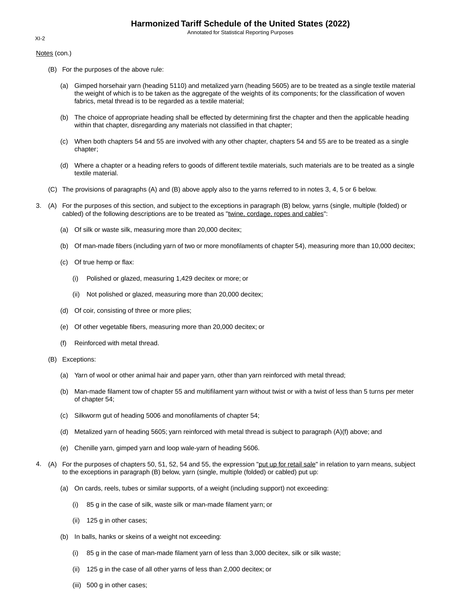Annotated for Statistical Reporting Purposes

## Notes (con.)

- (B) For the purposes of the above rule:
	- (a) Gimped horsehair yarn (heading 5110) and metalized yarn (heading 5605) are to be treated as a single textile material the weight of which is to be taken as the aggregate of the weights of its components; for the classification of woven fabrics, metal thread is to be regarded as a textile material;
	- (b) The choice of appropriate heading shall be effected by determining first the chapter and then the applicable heading within that chapter, disregarding any materials not classified in that chapter;
	- (c) When both chapters 54 and 55 are involved with any other chapter, chapters 54 and 55 are to be treated as a single chapter;
	- (d) Where a chapter or a heading refers to goods of different textile materials, such materials are to be treated as a single textile material.
- (C) The provisions of paragraphs (A) and (B) above apply also to the yarns referred to in notes 3, 4, 5 or 6 below.
- 3. (A) For the purposes of this section, and subject to the exceptions in paragraph (B) below, yarns (single, multiple (folded) or cabled) of the following descriptions are to be treated as "twine, cordage, ropes and cables":
	- (a) Of silk or waste silk, measuring more than 20,000 decitex;
	- (b) Of man-made fibers (including yarn of two or more monofilaments of chapter 54), measuring more than 10,000 decitex;
	- (c) Of true hemp or flax:
		- (i) Polished or glazed, measuring 1,429 decitex or more; or
		- (ii) Not polished or glazed, measuring more than 20,000 decitex;
	- (d) Of coir, consisting of three or more plies;
	- (e) Of other vegetable fibers, measuring more than 20,000 decitex; or
	- (f) Reinforced with metal thread.
	- (B) Exceptions:
		- (a) Yarn of wool or other animal hair and paper yarn, other than yarn reinforced with metal thread;
		- (b) Man-made filament tow of chapter 55 and multifilament yarn without twist or with a twist of less than 5 turns per meter of chapter 54;
		- (c) Silkworm gut of heading 5006 and monofilaments of chapter 54;
		- (d) Metalized yarn of heading 5605; yarn reinforced with metal thread is subject to paragraph (A)(f) above; and
		- (e) Chenille yarn, gimped yarn and loop wale-yarn of heading 5606.
- 4. (A) For the purposes of chapters 50, 51, 52, 54 and 55, the expression "put up for retail sale" in relation to yarn means, subject to the exceptions in paragraph (B) below, yarn (single, multiple (folded) or cabled) put up:
	- (a) On cards, reels, tubes or similar supports, of a weight (including support) not exceeding:
		- (i) 85 g in the case of silk, waste silk or man-made filament yarn; or
		- (ii) 125 g in other cases;
	- (b) In balls, hanks or skeins of a weight not exceeding:
		- (i) 85 g in the case of man-made filament yarn of less than 3,000 decitex, silk or silk waste;
		- (ii) 125 g in the case of all other yarns of less than 2,000 decitex; or
		- (iii) 500 g in other cases;

## XI-2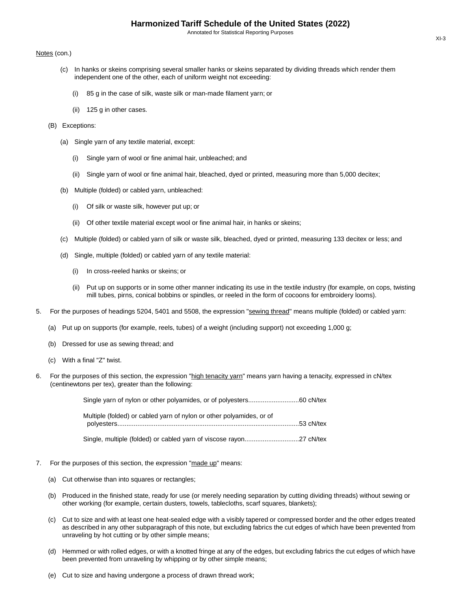## Notes (con.)

- (c) In hanks or skeins comprising several smaller hanks or skeins separated by dividing threads which render them independent one of the other, each of uniform weight not exceeding:
	- (i) 85 g in the case of silk, waste silk or man-made filament yarn; or
	- (ii) 125 g in other cases.
- (B) Exceptions:
	- (a) Single yarn of any textile material, except:
		- (i) Single yarn of wool or fine animal hair, unbleached; and
		- (ii) Single yarn of wool or fine animal hair, bleached, dyed or printed, measuring more than 5,000 decitex;
	- (b) Multiple (folded) or cabled yarn, unbleached:
		- (i) Of silk or waste silk, however put up; or
		- (ii) Of other textile material except wool or fine animal hair, in hanks or skeins;
	- (c) Multiple (folded) or cabled yarn of silk or waste silk, bleached, dyed or printed, measuring 133 decitex or less; and
	- (d) Single, multiple (folded) or cabled yarn of any textile material:
		- (i) In cross-reeled hanks or skeins; or
		- (ii) Put up on supports or in some other manner indicating its use in the textile industry (for example, on cops, twisting mill tubes, pirns, conical bobbins or spindles, or reeled in the form of cocoons for embroidery looms).
- 5. For the purposes of headings 5204, 5401 and 5508, the expression "sewing thread" means multiple (folded) or cabled yarn:
	- (a) Put up on supports (for example, reels, tubes) of a weight (including support) not exceeding 1,000 g;
	- (b) Dressed for use as sewing thread; and
	- (c) With a final "Z" twist.
- 6. For the purposes of this section, the expression "high tenacity yarn" means yarn having a tenacity, expressed in cN/tex (centinewtons per tex), greater than the following:

| Multiple (folded) or cabled yarn of nylon or other polyamides, or of |  |
|----------------------------------------------------------------------|--|
|                                                                      |  |

Single, multiple (folded) or cabled yarn of viscose rayon..............................27 cN/tex

- 7. For the purposes of this section, the expression "made up" means:
	- (a) Cut otherwise than into squares or rectangles;
	- (b) Produced in the finished state, ready for use (or merely needing separation by cutting dividing threads) without sewing or other working (for example, certain dusters, towels, tablecloths, scarf squares, blankets);
	- (c) Cut to size and with at least one heat-sealed edge with a visibly tapered or compressed border and the other edges treated as described in any other subparagraph of this note, but excluding fabrics the cut edges of which have been prevented from unraveling by hot cutting or by other simple means;
	- (d) Hemmed or with rolled edges, or with a knotted fringe at any of the edges, but excluding fabrics the cut edges of which have been prevented from unraveling by whipping or by other simple means;
	- (e) Cut to size and having undergone a process of drawn thread work;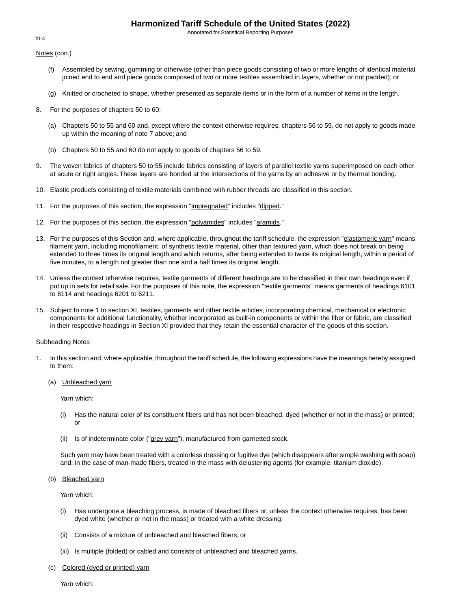Annotated for Statistical Reporting Purposes

Notes (con.)

- (f) Assembled by sewing, gumming or otherwise (other than piece goods consisting of two or more lengths of identical material joined end to end and piece goods composed of two or more textiles assembled in layers, whether or not padded); or
- (g) Knitted or crocheted to shape, whether presented as separate items or in the form of a number of items in the length.
- 8. For the purposes of chapters 50 to 60:
	- (a) Chapters 50 to 55 and 60 and, except where the context otherwise requires, chapters 56 to 59, do not apply to goods made up within the meaning of note 7 above; and
	- (b) Chapters 50 to 55 and 60 do not apply to goods of chapters 56 to 59.
- 9. The woven fabrics of chapters 50 to 55 include fabrics consisting of layers of parallel textile yarns superimposed on each other at acute or right angles. These layers are bonded at the intersections of the yarns by an adhesive or by thermal bonding.
- 10. Elastic products consisting of textile materials combined with rubber threads are classified in this section.
- 11. For the purposes of this section, the expression "impregnated" includes "dipped."
- 12. For the purposes of this section, the expression "polyamides" includes "aramids."
- 13. For the purposes of this Section and, where applicable, throughout the tariff schedule, the expression "elastomeric yarn" means filament yarn, including monofilament, of synthetic textile material, other than textured yarn, which does not break on being extended to three times its original length and which returns, after being extended to twice its original length, within a period of five minutes, to a length not greater than one and a half times its original length.
- 14. Unless the context otherwise requires, textile garments of different headings are to be classified in their own headings even if put up in sets for retail sale. For the purposes of this note, the expression "textile garments" means garments of headings 6101 to 6114 and headings 6201 to 6211.
- 15. Subject to note 1 to section XI, textiles, garments and other textile articles, incorporating chemical, mechanical or electronic components for additional functionality, whether incorporated as built-in components or within the fiber or fabric, are classified in their respective headings in Section XI provided that they retain the essential character of the goods of this section.

## Subheading Notes

- 1. In this section and, where applicable, throughout the tariff schedule, the following expressions have the meanings hereby assigned to them:
	- (a) Unbleached yarn

Yarn which:

- (i) Has the natural color of its constituent fibers and has not been bleached, dyed (whether or not in the mass) or printed; or
- (ii) Is of indeterminate color ("grey yarn"), manufactured from garnetted stock.

Such yarn may have been treated with a colorless dressing or fugitive dye (which disappears after simple washing with soap) and, in the case of man-made fibers, treated in the mass with delustering agents (for example, titanium dioxide).

(b) Bleached yarn

Yarn which:

- (i) Has undergone a bleaching process, is made of bleached fibers or, unless the context otherwise requires, has been dyed white (whether or not in the mass) or treated with a white dressing;
- (ii) Consists of a mixture of unbleached and bleached fibers; or
- (iii) Is multiple (folded) or cabled and consists of unbleached and bleached yarns.
- (c) Colored (dyed or printed) yarn

Yarn which:

 $XI-4$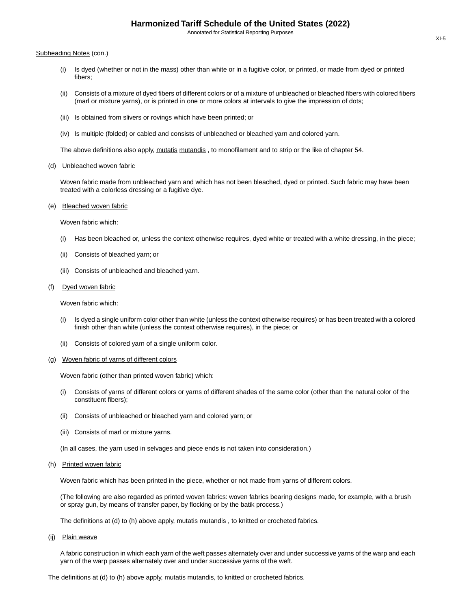#### Subheading Notes (con.)

- (i) Is dyed (whether or not in the mass) other than white or in a fugitive color, or printed, or made from dyed or printed fibers;
- (ii) Consists of a mixture of dyed fibers of different colors or of a mixture of unbleached or bleached fibers with colored fibers (marl or mixture yarns), or is printed in one or more colors at intervals to give the impression of dots;
- (iii) Is obtained from slivers or rovings which have been printed; or
- (iv) Is multiple (folded) or cabled and consists of unbleached or bleached yarn and colored yarn.

The above definitions also apply, mutatis mutandis, to monofilament and to strip or the like of chapter 54.

#### (d) Unbleached woven fabric

Woven fabric made from unbleached yarn and which has not been bleached, dyed or printed. Such fabric may have been treated with a colorless dressing or a fugitive dye.

### (e) Bleached woven fabric

Woven fabric which:

- (i) Has been bleached or, unless the context otherwise requires, dyed white or treated with a white dressing, in the piece;
- (ii) Consists of bleached yarn; or
- (iii) Consists of unbleached and bleached yarn.

#### (f) Dyed woven fabric

Woven fabric which:

- (i) Is dyed a single uniform color other than white (unless the context otherwise requires) or has been treated with a colored finish other than white (unless the context otherwise requires), in the piece; or
- (ii) Consists of colored yarn of a single uniform color.
- (g) Woven fabric of yarns of different colors

Woven fabric (other than printed woven fabric) which:

- (i) Consists of yarns of different colors or yarns of different shades of the same color (other than the natural color of the constituent fibers);
- (ii) Consists of unbleached or bleached yarn and colored yarn; or
- (iii) Consists of marl or mixture yarns.

(In all cases, the yarn used in selvages and piece ends is not taken into consideration.)

#### (h) Printed woven fabric

Woven fabric which has been printed in the piece, whether or not made from yarns of different colors.

(The following are also regarded as printed woven fabrics: woven fabrics bearing designs made, for example, with a brush or spray gun, by means of transfer paper, by flocking or by the batik process.)

The definitions at (d) to (h) above apply, mutatis mutandis , to knitted or crocheted fabrics.

(ij) Plain weave

A fabric construction in which each yarn of the weft passes alternately over and under successive yarns of the warp and each yarn of the warp passes alternately over and under successive yarns of the weft.

The definitions at (d) to (h) above apply, mutatis mutandis, to knitted or crocheted fabrics.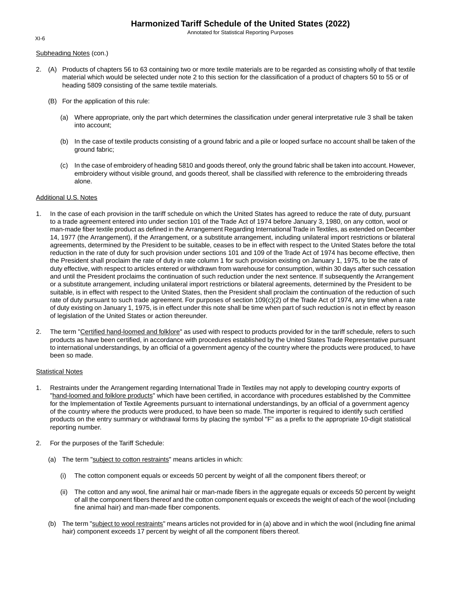Annotated for Statistical Reporting Purposes

#### Subheading Notes (con.)

- 2. (A) Products of chapters 56 to 63 containing two or more textile materials are to be regarded as consisting wholly of that textile material which would be selected under note 2 to this section for the classification of a product of chapters 50 to 55 or of heading 5809 consisting of the same textile materials.
	- (B) For the application of this rule:
		- (a) Where appropriate, only the part which determines the classification under general interpretative rule 3 shall be taken into account;
		- (b) In the case of textile products consisting of a ground fabric and a pile or looped surface no account shall be taken of the ground fabric;
		- (c) In the case of embroidery of heading 5810 and goods thereof, only the ground fabric shall be taken into account. However, embroidery without visible ground, and goods thereof, shall be classified with reference to the embroidering threads alone.

### Additional U.S. Notes

- 1. In the case of each provision in the tariff schedule on which the United States has agreed to reduce the rate of duty, pursuant to a trade agreement entered into under section 101 of the Trade Act of 1974 before January 3, 1980, on any cotton, wool or man-made fiber textile product as defined in the Arrangement Regarding International Trade in Textiles, as extended on December 14, 1977 (the Arrangement), if the Arrangement, or a substitute arrangement, including unilateral import restrictions or bilateral agreements, determined by the President to be suitable, ceases to be in effect with respect to the United States before the total reduction in the rate of duty for such provision under sections 101 and 109 of the Trade Act of 1974 has become effective, then the President shall proclaim the rate of duty in rate column 1 for such provision existing on January 1, 1975, to be the rate of duty effective, with respect to articles entered or withdrawn from warehouse for consumption, within 30 days after such cessation and until the President proclaims the continuation of such reduction under the next sentence. If subsequently the Arrangement or a substitute arrangement, including unilateral import restrictions or bilateral agreements, determined by the President to be suitable, is in effect with respect to the United States, then the President shall proclaim the continuation of the reduction of such rate of duty pursuant to such trade agreement. For purposes of section 109(c)(2) of the Trade Act of 1974, any time when a rate of duty existing on January 1, 1975, is in effect under this note shall be time when part of such reduction is not in effect by reason of legislation of the United States or action thereunder.
- 2. The term "Certified hand-loomed and folklore" as used with respect to products provided for in the tariff schedule, refers to such products as have been certified, in accordance with procedures established by the United States Trade Representative pursuant to international understandings, by an official of a government agency of the country where the products were produced, to have been so made.

#### Statistical Notes

- 1. Restraints under the Arrangement regarding International Trade in Textiles may not apply to developing country exports of "hand-loomed and folklore products" which have been certified, in accordance with procedures established by the Committee for the Implementation of Textile Agreements pursuant to international understandings, by an official of a government agency of the country where the products were produced, to have been so made. The importer is required to identify such certified products on the entry summary or withdrawal forms by placing the symbol "F" as a prefix to the appropriate 10-digit statistical reporting number.
- 2. For the purposes of the Tariff Schedule:
	- (a) The term "subject to cotton restraints" means articles in which:
		- (i) The cotton component equals or exceeds 50 percent by weight of all the component fibers thereof; or
		- (ii) The cotton and any wool, fine animal hair or man-made fibers in the aggregate equals or exceeds 50 percent by weight of all the component fibers thereof and the cotton component equals or exceeds the weight of each of the wool (including fine animal hair) and man-made fiber components.
	- (b) The term "subject to wool restraints" means articles not provided for in (a) above and in which the wool (including fine animal hair) component exceeds 17 percent by weight of all the component fibers thereof.

XI-6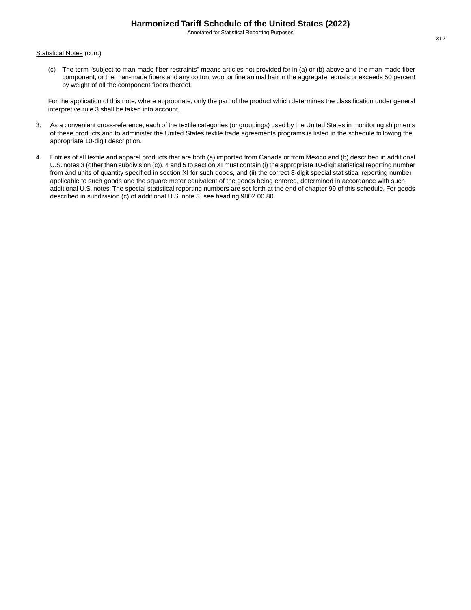Statistical Notes (con.)

(c) The term "subject to man-made fiber restraints" means articles not provided for in (a) or (b) above and the man-made fiber component, or the man-made fibers and any cotton, wool or fine animal hair in the aggregate, equals or exceeds 50 percent by weight of all the component fibers thereof.

For the application of this note, where appropriate, only the part of the product which determines the classification under general interpretive rule 3 shall be taken into account.

- 3. As a convenient cross-reference, each of the textile categories (or groupings) used by the United States in monitoring shipments of these products and to administer the United States textile trade agreements programs is listed in the schedule following the appropriate 10-digit description.
- 4. Entries of all textile and apparel products that are both (a) imported from Canada or from Mexico and (b) described in additional U.S. notes 3 (other than subdivision (c)), 4 and 5 to section XI must contain (i) the appropriate 10-digit statistical reporting number from and units of quantity specified in section XI for such goods, and (ii) the correct 8-digit special statistical reporting number applicable to such goods and the square meter equivalent of the goods being entered, determined in accordance with such additional U.S. notes. The special statistical reporting numbers are set forth at the end of chapter 99 of this schedule. For goods described in subdivision (c) of additional U.S. note 3, see heading 9802.00.80.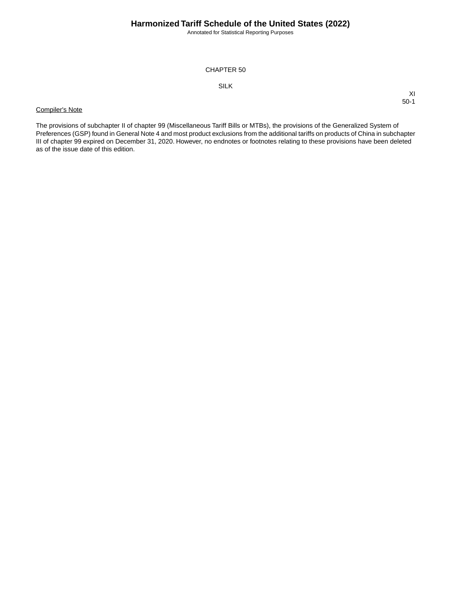Annotated for Statistical Reporting Purposes

XI 50-1

## CHAPTER 50

## SILK

## Compiler's Note

The provisions of subchapter II of chapter 99 (Miscellaneous Tariff Bills or MTBs), the provisions of the Generalized System of Preferences (GSP) found in General Note 4 and most product exclusions from the additional tariffs on products of China in subchapter III of chapter 99 expired on December 31, 2020. However, no endnotes or footnotes relating to these provisions have been deleted as of the issue date of this edition.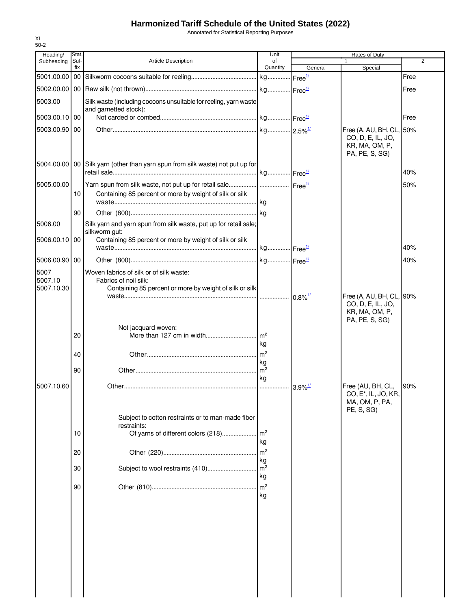Annotated for Statistical Reporting Purposes

| Heading/      | Stat.       |                                                                                 | Unit                 | Rates of Duty         |                                                       |                |  |
|---------------|-------------|---------------------------------------------------------------------------------|----------------------|-----------------------|-------------------------------------------------------|----------------|--|
| Subheading    | Suf-<br>fix | <b>Article Description</b>                                                      | of<br>Quantity       | General               | 1<br>Special                                          | $\overline{2}$ |  |
|               |             |                                                                                 |                      |                       |                                                       | Free           |  |
|               |             |                                                                                 |                      |                       |                                                       | Free           |  |
| 5003.00       |             | Silk waste (including cocoons unsuitable for reeling, yarn waste                |                      |                       |                                                       |                |  |
| 5003.00.10 00 |             | and garnetted stock):                                                           |                      |                       |                                                       | Free           |  |
| 5003.00.90 00 |             |                                                                                 |                      |                       | Free (A, AU, BH, CL, 50%                              |                |  |
|               |             |                                                                                 |                      |                       | CO, D, E, IL, JO,                                     |                |  |
|               |             |                                                                                 |                      |                       | KR, MA, OM, P,<br>PA, PE, S, SG)                      |                |  |
|               |             | 5004.00.00   00 Silk yarn (other than yarn spun from silk waste) not put up for |                      |                       |                                                       |                |  |
|               |             |                                                                                 |                      |                       |                                                       | 40%            |  |
| 5005.00.00    |             | Yarn spun from silk waste, not put up for retail sale  Free <sup>1/</sup>       |                      |                       |                                                       | 50%            |  |
|               | 10          | Containing 85 percent or more by weight of silk or silk                         |                      |                       |                                                       |                |  |
|               | 90          |                                                                                 |                      |                       |                                                       |                |  |
| 5006.00       |             | Silk yarn and yarn spun from silk waste, put up for retail sale;                |                      |                       |                                                       |                |  |
|               |             | silkworm gut:                                                                   |                      |                       |                                                       |                |  |
| 5006.00.10 00 |             | Containing 85 percent or more by weight of silk or silk                         |                      |                       |                                                       | 40%            |  |
| 5006.00.90 00 |             |                                                                                 |                      |                       |                                                       | 40%            |  |
| 5007          |             | Woven fabrics of silk or of silk waste:                                         |                      |                       |                                                       |                |  |
| 5007.10       |             | Fabrics of noil silk:                                                           |                      |                       |                                                       |                |  |
| 5007.10.30    |             | Containing 85 percent or more by weight of silk or silk                         |                      | $0.8\%$ <sup>1/</sup> | Free (A, AU, BH, CL, 90%                              |                |  |
|               |             |                                                                                 |                      |                       | CO, D, E, IL, JO,                                     |                |  |
|               |             |                                                                                 |                      |                       | KR, MA, OM, P,<br>PA, PE, S, SG)                      |                |  |
|               |             | Not jacquard woven:                                                             |                      |                       |                                                       |                |  |
|               | 20          | More than 127 cm in width                                                       | m <sup>2</sup><br>kg |                       |                                                       |                |  |
|               | 40          |                                                                                 |                      |                       |                                                       |                |  |
|               | 90          |                                                                                 | kg<br>m <sup>2</sup> |                       |                                                       |                |  |
|               |             |                                                                                 | kg                   |                       |                                                       |                |  |
| 5007.10.60    |             |                                                                                 |                      |                       | Free (AU, BH, CL,<br>CO, E <sup>*</sup> , IL, JO, KR, | 90%            |  |
|               |             |                                                                                 |                      |                       | MA, OM, P, PA,                                        |                |  |
|               |             | Subject to cotton restraints or to man-made fiber                               |                      |                       | PE, S, SG)                                            |                |  |
|               |             | restraints:                                                                     |                      |                       |                                                       |                |  |
|               | 10          |                                                                                 | kg                   |                       |                                                       |                |  |
|               | 20          |                                                                                 | m <sup>2</sup>       |                       |                                                       |                |  |
|               |             |                                                                                 | kg                   |                       |                                                       |                |  |
|               | 30          |                                                                                 | m <sup>2</sup><br>kg |                       |                                                       |                |  |
|               | 90          |                                                                                 | m <sup>2</sup>       |                       |                                                       |                |  |
|               |             |                                                                                 | kg                   |                       |                                                       |                |  |
|               |             |                                                                                 |                      |                       |                                                       |                |  |
|               |             |                                                                                 |                      |                       |                                                       |                |  |
|               |             |                                                                                 |                      |                       |                                                       |                |  |
|               |             |                                                                                 |                      |                       |                                                       |                |  |
|               |             |                                                                                 |                      |                       |                                                       |                |  |
|               |             |                                                                                 |                      |                       |                                                       |                |  |
|               |             |                                                                                 |                      |                       |                                                       |                |  |
|               |             |                                                                                 |                      |                       |                                                       |                |  |

XI 50-2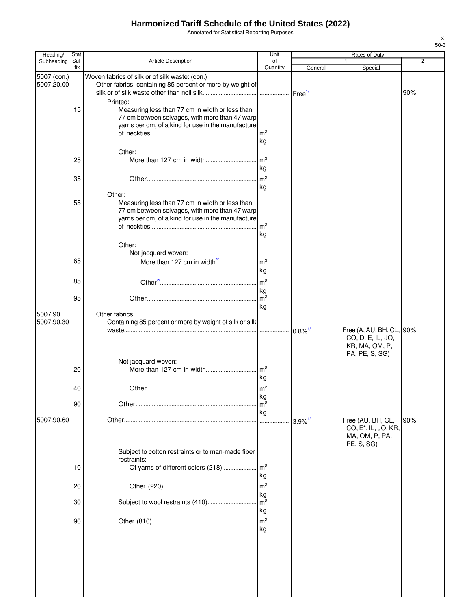Annotated for Statistical Reporting Purposes

| Heading/                  | Stat.       |                                                                                                                                                                             | Unit                  |                       | Rates of Duty                                                    |                |
|---------------------------|-------------|-----------------------------------------------------------------------------------------------------------------------------------------------------------------------------|-----------------------|-----------------------|------------------------------------------------------------------|----------------|
| Subheading                | Suf-<br>fix | Article Description                                                                                                                                                         | of<br>Quantity        | General               | 1<br>Special                                                     | $\overline{2}$ |
| 5007 (con.)<br>5007.20.00 |             | Woven fabrics of silk or of silk waste: (con.)<br>Other fabrics, containing 85 percent or more by weight of<br>Printed:                                                     |                       |                       |                                                                  | 90%            |
|                           | 15          | Measuring less than 77 cm in width or less than<br>77 cm between selvages, with more than 47 warp<br>yarns per cm, of a kind for use in the manufacture                     | m <sup>2</sup><br>kg  |                       |                                                                  |                |
|                           | 25          | Other:                                                                                                                                                                      | m <sup>2</sup><br>kg  |                       |                                                                  |                |
|                           | 35          |                                                                                                                                                                             | m <sup>2</sup><br>kg  |                       |                                                                  |                |
|                           | 55          | Other:<br>Measuring less than 77 cm in width or less than<br>77 cm between selvages, with more than 47 warp<br>yarns per cm, of a kind for use in the manufacture<br>Other: | m <sup>2</sup><br>kg  |                       |                                                                  |                |
|                           | 65          | Not jacquard woven:<br>More than 127 cm in width <sup>2'</sup>                                                                                                              | m <sup>2</sup>        |                       |                                                                  |                |
|                           | 85          |                                                                                                                                                                             | kg<br>m <sup>2</sup>  |                       |                                                                  |                |
|                           | 95          |                                                                                                                                                                             | kg<br>m <sup>2</sup>  |                       |                                                                  |                |
| 5007.90<br>5007.90.30     |             | Other fabrics:<br>Containing 85 percent or more by weight of silk or silk                                                                                                   | kg                    | $0.8\%$ <sup>1/</sup> | Free (A, AU, BH, CL, 90%<br>CO, D, E, IL, JO,<br>KR, MA, OM, P,  |                |
|                           | 20          | Not jacquard woven:                                                                                                                                                         | kg                    |                       | PA, PE, S, SG)                                                   |                |
|                           | 40          |                                                                                                                                                                             | kg                    |                       |                                                                  |                |
| 5007.90.60                | 90          |                                                                                                                                                                             | m <sup>2</sup><br>kg  | $3.9\%$ <sup>1/</sup> | Free (AU, BH, CL,                                                | 90%            |
|                           |             | Subject to cotton restraints or to man-made fiber                                                                                                                           |                       |                       | CO, E <sup>*</sup> , IL, JO, KR,<br>MA, OM, P, PA,<br>PE, S, SG) |                |
|                           | 10          | restraints:<br>Of yarns of different colors (218)                                                                                                                           | $\mathsf{Im}^2$<br>kg |                       |                                                                  |                |
|                           | 20          |                                                                                                                                                                             | m <sup>2</sup><br>kg  |                       |                                                                  |                |
|                           | 30          | Subject to wool restraints (410)                                                                                                                                            | m <sup>2</sup><br>kg  |                       |                                                                  |                |
|                           | 90          |                                                                                                                                                                             | m <sup>2</sup><br>kg  |                       |                                                                  |                |
|                           |             |                                                                                                                                                                             |                       |                       |                                                                  |                |
|                           |             |                                                                                                                                                                             |                       |                       |                                                                  |                |

XI 50-3